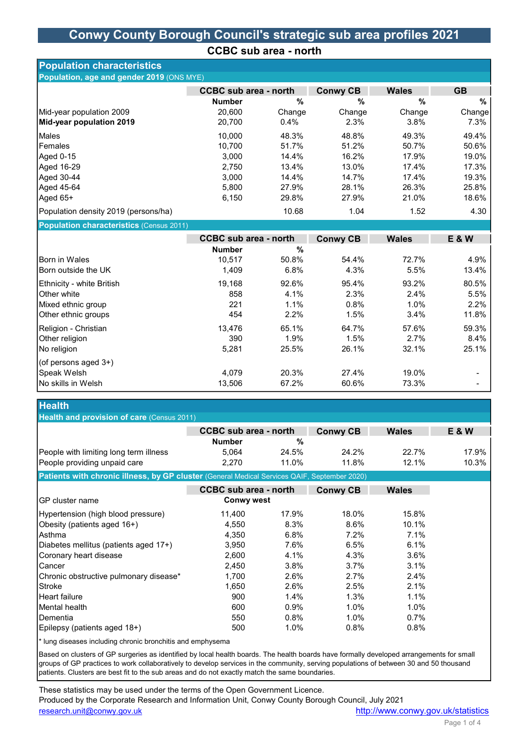### Conwy County Borough Council's strategic sub area profiles 2021

CCBC sub area - north

| <b>Population characteristics</b>         |                              |               |                 |               |                |
|-------------------------------------------|------------------------------|---------------|-----------------|---------------|----------------|
| Population, age and gender 2019 (ONS MYE) |                              |               |                 |               |                |
|                                           | <b>CCBC</b> sub area - north |               | <b>Conwy CB</b> | <b>Wales</b>  | <b>GB</b>      |
|                                           | <b>Number</b>                | $\frac{9}{6}$ | %               | $\frac{0}{0}$ | %              |
| Mid-year population 2009                  | 20,600                       | Change        | Change          | Change        | Change         |
| Mid-year population 2019                  | 20,700                       | 0.4%          | 2.3%            | 3.8%          | 7.3%           |
| Males                                     | 10,000                       | 48.3%         | 48.8%           | 49.3%         | 49.4%          |
| Females                                   | 10,700                       | 51.7%         | 51.2%           | 50.7%         | 50.6%          |
| Aged 0-15                                 | 3,000                        | 14.4%         | 16.2%           | 17.9%         | 19.0%          |
| Aged 16-29                                | 2,750                        | 13.4%         | 13.0%           | 17.4%         | 17.3%          |
| Aged 30-44                                | 3,000                        | 14.4%         | 14.7%           | 17.4%         | 19.3%          |
| Aged 45-64                                | 5,800                        | 27.9%         | 28.1%           | 26.3%         | 25.8%          |
| Aged 65+                                  | 6,150                        | 29.8%         | 27.9%           | 21.0%         | 18.6%          |
| Population density 2019 (persons/ha)      |                              | 10.68         | 1.04            | 1.52          | 4.30           |
| Population characteristics (Census 2011)  |                              |               |                 |               |                |
|                                           | <b>CCBC sub area - north</b> |               | <b>Conwy CB</b> | <b>Wales</b>  | <b>E&amp;W</b> |
|                                           | <b>Number</b>                | %             |                 |               |                |
| Born in Wales                             | 10,517                       | 50.8%         | 54.4%           | 72.7%         | 4.9%           |
| Born outside the UK                       | 1,409                        | 6.8%          | 4.3%            | 5.5%          | 13.4%          |
|                                           |                              |               |                 |               |                |
| Ethnicity - white British                 | 19,168                       | 92.6%         | 95.4%           | 93.2%         | 80.5%          |
| Other white                               | 858                          | 4.1%          | 2.3%            | 2.4%          | 5.5%           |
| Mixed ethnic group                        | 221                          | 1.1%          | 0.8%            | 1.0%          | 2.2%           |
| Other ethnic groups                       | 454                          | 2.2%          | 1.5%            | 3.4%          | 11.8%          |
| Religion - Christian                      | 13,476                       | 65.1%         | 64.7%           | 57.6%         | 59.3%          |
| Other religion                            | 390                          | 1.9%          | 1.5%            | 2.7%          | 8.4%           |
| No religion                               | 5,281                        | 25.5%         | 26.1%           | 32.1%         | 25.1%          |
| (of persons aged 3+)                      |                              |               |                 |               |                |
| Speak Welsh                               | 4,079                        | 20.3%         | 27.4%           | 19.0%         |                |
| No skills in Welsh                        | 13,506                       | 67.2%         | 60.6%           | 73.3%         |                |
| <b>Health</b>                             |                              |               |                 |               |                |

| Health and provision of care (Census 2011)                                                   |                              |       |                 |              |                  |
|----------------------------------------------------------------------------------------------|------------------------------|-------|-----------------|--------------|------------------|
|                                                                                              | <b>CCBC</b> sub area - north |       | <b>Conwy CB</b> | <b>Wales</b> | <b>E &amp; W</b> |
|                                                                                              | <b>Number</b>                | %     |                 |              |                  |
| People with limiting long term illness                                                       | 5.064                        | 24.5% | 24.2%           | 22.7%        | 17.9%            |
| People providing unpaid care                                                                 | 2.270                        | 11.0% | 11.8%           | 12.1%        | 10.3%            |
| Patients with chronic illness, by GP cluster (General Medical Services QAIF, September 2020) |                              |       |                 |              |                  |
|                                                                                              | <b>CCBC</b> sub area - north |       |                 |              |                  |
|                                                                                              |                              |       | <b>Conwy CB</b> | <b>Wales</b> |                  |
| IGP cluster name                                                                             | <b>Conwy west</b>            |       |                 |              |                  |
| Hypertension (high blood pressure)                                                           | 11.400                       | 17.9% | 18.0%           | 15.8%        |                  |
| Obesity (patients aged 16+)                                                                  | 4.550                        | 8.3%  | 8.6%            | 10.1%        |                  |
| IAsthma                                                                                      | 4.350                        | 6.8%  | 7.2%            | 7.1%         |                  |

| $\mu$ placeles inellitus (patients aged $\mu$ + $\mu$ | ບ.ອບບ | 7. U 70 | 0.070 | U. 170  |
|-------------------------------------------------------|-------|---------|-------|---------|
| Coronary heart disease                                | 2.600 | 4.1%    | 4.3%  | 3.6%    |
| ICancer                                               | 2.450 | 3.8%    | 3.7%  | 3.1%    |
| Chronic obstructive pulmonary disease*                | 1.700 | 2.6%    | 2.7%  | 2.4%    |
| IStroke                                               | 1.650 | 2.6%    | 2.5%  | 2.1%    |
| Heart failure                                         | 900   | 1.4%    | 1.3%  | 1.1%    |
| IMental health.                                       | 600   | $0.9\%$ | 1.0%  | $1.0\%$ |
| <b>I</b> Dementia                                     | 550   | 0.8%    | 1.0%  | $0.7\%$ |
| Epilepsy (patients aged 18+)                          | 500   | 1.0%    | 0.8%  | 0.8%    |

\* lung diseases including chronic bronchitis and emphysema

Based on clusters of GP surgeries as identified by local health boards. The health boards have formally developed arrangements for small groups of GP practices to work collaboratively to develop services in the community, serving populations of between 30 and 50 thousand patients. Clusters are best fit to the sub areas and do not exactly match the same boundaries.

These statistics may be used under the terms of the Open Government Licence. Produced by the Corporate Research and Information Unit, Conwy County Borough Council, July 2021 research.unit@conwy.gov.uk http://www.conwy.gov.uk/statistics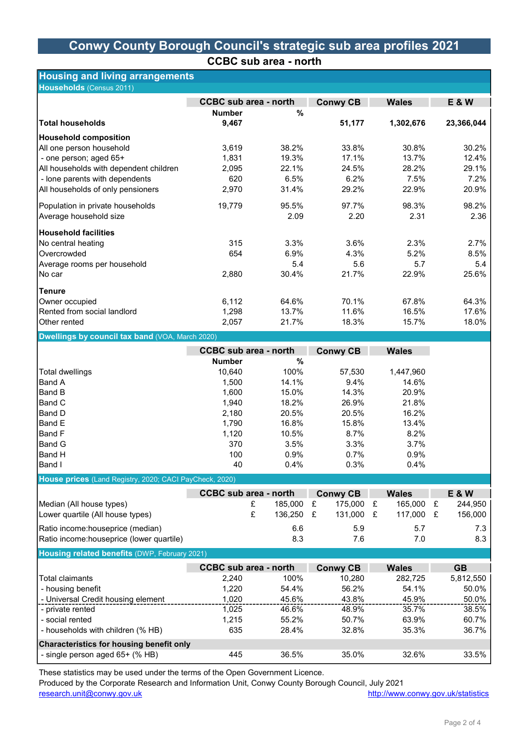# Conwy County Borough Council's strategic sub area profiles 2021 CCBC sub area - north

# Housing and living arrangements

| Households (Census 2011)               |                              |       |                                 |           |                |  |
|----------------------------------------|------------------------------|-------|---------------------------------|-----------|----------------|--|
|                                        | <b>CCBC</b> sub area - north |       | <b>Conwy CB</b><br><b>Wales</b> |           | <b>E&amp;W</b> |  |
|                                        | <b>Number</b>                | $\%$  |                                 |           |                |  |
| <b>Total households</b>                | 9,467                        |       | 51,177                          | 1,302,676 | 23,366,044     |  |
| <b>Household composition</b>           |                              |       |                                 |           |                |  |
| All one person household               | 3,619                        | 38.2% | 33.8%                           | 30.8%     | 30.2%          |  |
| - one person; aged 65+                 | 1,831                        | 19.3% | 17.1%                           | 13.7%     | 12.4%          |  |
| All households with dependent children | 2,095                        | 22.1% | 24.5%                           | 28.2%     | 29.1%          |  |
| - lone parents with dependents         | 620                          | 6.5%  | 6.2%                            | 7.5%      | 7.2%           |  |
| All households of only pensioners      | 2,970                        | 31.4% | 29.2%                           | 22.9%     | 20.9%          |  |
| Population in private households       | 19,779                       | 95.5% | 97.7%                           | 98.3%     | 98.2%          |  |
| Average household size                 |                              | 2.09  | 2.20                            | 2.31      | 2.36           |  |
| Household facilities                   |                              |       |                                 |           |                |  |
| No central heating                     | 315                          | 3.3%  | 3.6%                            | 2.3%      | 2.7%           |  |
| Overcrowded                            | 654                          | 6.9%  | 4.3%                            | 5.2%      | 8.5%           |  |
| Average rooms per household            |                              | 5.4   | 5.6                             | 5.7       | 5.4            |  |
| ∣No car                                | 2,880                        | 30.4% | 21.7%                           | 22.9%     | 25.6%          |  |
| <b>Tenure</b>                          |                              |       |                                 |           |                |  |
| Owner occupied                         | 6,112                        | 64.6% | 70.1%                           | 67.8%     | 64.3%          |  |
| Rented from social landlord            | 1,298                        | 13.7% | 11.6%                           | 16.5%     | 17.6%          |  |
| Other rented                           | 2,057                        | 21.7% | 18.3%                           | 15.7%     | 18.0%          |  |

#### Dwellings by council tax band (VOA, March 2020)

|                                                                                                                                                                            | <b>CCBC</b> sub area - north |              | <b>Conwy CB</b> | <b>Wales</b> |
|----------------------------------------------------------------------------------------------------------------------------------------------------------------------------|------------------------------|--------------|-----------------|--------------|
|                                                                                                                                                                            | <b>Number</b>                | %            |                 |              |
| <b>Total dwellings</b>                                                                                                                                                     | 10.640                       | 100%         | 57,530          | 1,447,960    |
| Band A                                                                                                                                                                     | 1,500                        | 14.1%        | 9.4%            | 14.6%        |
| Band B                                                                                                                                                                     | 1,600                        | 15.0%        | 14.3%           | 20.9%        |
| Band C                                                                                                                                                                     | 1,940                        | 18.2%        | 26.9%           | 21.8%        |
| IBand D                                                                                                                                                                    | 2,180                        | 20.5%        | 20.5%           | 16.2%        |
| IBand E                                                                                                                                                                    | 1,790                        | 16.8%        | 15.8%           | 13.4%        |
| <b>Band F</b>                                                                                                                                                              | 1,120                        | 10.5%        | 8.7%            | 8.2%         |
| Band G                                                                                                                                                                     | 370                          | 3.5%         | 3.3%            | 3.7%         |
| Band H                                                                                                                                                                     | 100                          | 0.9%         | 0.7%            | 0.9%         |
| Band I                                                                                                                                                                     | 40                           | 0.4%         | 0.3%            | 0.4%         |
| House prices (Land Registry, 2020; CACI PayCheck, 2020)                                                                                                                    |                              |              |                 |              |
|                                                                                                                                                                            | <b>CCBC</b> sub area - north |              | <b>Conwy CB</b> | <b>Wales</b> |
| Median (All house types)                                                                                                                                                   |                              | £<br>185.000 | £<br>175.000    | 165,000<br>£ |
| Lower quartile (All house types)                                                                                                                                           |                              | £<br>136,250 | £<br>131,000    | £<br>117,000 |
|                                                                                                                                                                            |                              |              |                 |              |
|                                                                                                                                                                            |                              |              | 5.9             | 5.7          |
|                                                                                                                                                                            |                              | 6.6<br>8.3   | 7.6             | 7.0          |
|                                                                                                                                                                            |                              |              |                 |              |
|                                                                                                                                                                            | <b>CCBC</b> sub area - north |              | <b>Conwy CB</b> | <b>Wales</b> |
|                                                                                                                                                                            | 2,240                        | 100%         | 10,280          | 282,725      |
|                                                                                                                                                                            | 1,220                        | 54.4%        | 56.2%           | 54.1%        |
| - housing benefit<br>- Universal Credit housing element                                                                                                                    | 1,020                        | 45.6%        | 43.8%           | 45.9%        |
| - private rented                                                                                                                                                           | 1,025                        | 46.6%        | 48.9%           | 35.7%        |
| Ratio income:houseprice (median)<br>Ratio income:houseprice (lower quartile)<br>Housing related benefits (DWP, February 2021)<br><b>Total claimants</b><br>- social rented | 1,215                        | 55.2%        | 50.7%           | 63.9%        |
| - households with children (% HB)                                                                                                                                          | 635                          | 28.4%        | 32.8%           | 35.3%        |

Characteristics for housing benefit only - single person aged 65+ (% HB) 445 36.5% 35.0% 32.6% 33.5%

These statistics may be used under the terms of the Open Government Licence.

Produced by the Corporate Research and Information Unit, Conwy County Borough Council, July 2021 research.unit@conwy.gov.uk http://www.conwy.gov.uk/statistics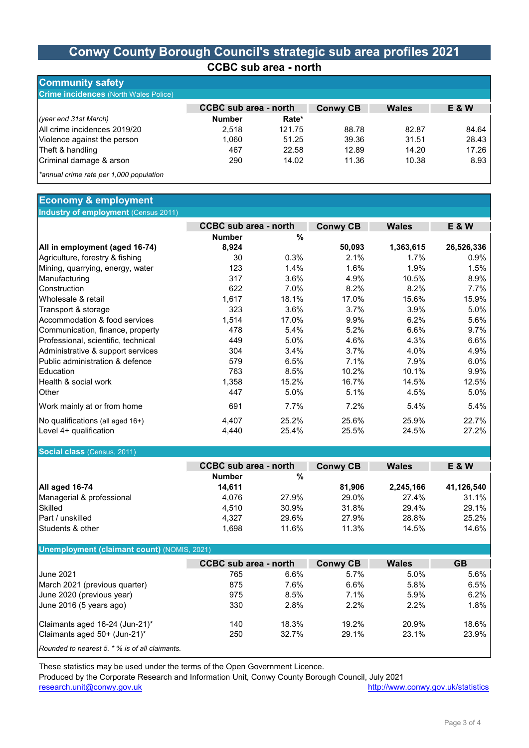## Conwy County Borough Council's strategic sub area profiles 2021 CCBC sub area - north

| <b>Community safety</b>                      |                              |        |                 |              |       |
|----------------------------------------------|------------------------------|--------|-----------------|--------------|-------|
| <b>Crime incidences</b> (North Wales Police) |                              |        |                 |              |       |
|                                              | <b>CCBC</b> sub area - north |        | <b>Conwy CB</b> | <b>Wales</b> | E & W |
| (year end 31st March)                        | <b>Number</b>                | Rate*  |                 |              |       |
| All crime incidences 2019/20                 | 2.518                        | 121.75 | 88.78           | 82.87        | 84.64 |
| Violence against the person                  | 1.060                        | 51.25  | 39.36           | 31.51        | 28.43 |
| Theft & handling                             | 467                          | 22.58  | 12.89           | 14.20        | 17.26 |
| Criminal damage & arson                      | 290                          | 14.02  | 11.36           | 10.38        | 8.93  |
| *annual crime rate per 1,000 population      |                              |        |                 |              |       |

#### Economy & employment Industry of employment (Census 2011)

|                                     |               | <b>CCBC</b> sub area - north |                 | <b>Wales</b> | <b>E&amp;W</b> |
|-------------------------------------|---------------|------------------------------|-----------------|--------------|----------------|
|                                     | <b>Number</b> | %                            | <b>Conwy CB</b> |              |                |
| All in employment (aged 16-74)      | 8,924         |                              | 50,093          | 1,363,615    | 26,526,336     |
| Agriculture, forestry & fishing     | 30            | 0.3%                         | 2.1%            | $1.7\%$      | 0.9%           |
| Mining, quarrying, energy, water    | 123           | 1.4%                         | 1.6%            | 1.9%         | 1.5%           |
| Manufacturing                       | 317           | 3.6%                         | 4.9%            | 10.5%        | 8.9%           |
| Construction                        | 622           | 7.0%                         | 8.2%            | 8.2%         | 7.7%           |
| IWholesale & retail                 | 1,617         | 18.1%                        | 17.0%           | 15.6%        | 15.9%          |
| Transport & storage                 | 323           | 3.6%                         | 3.7%            | 3.9%         | 5.0%           |
| Accommodation & food services       | 1,514         | 17.0%                        | 9.9%            | 6.2%         | 5.6%           |
| Communication, finance, property    | 478           | 5.4%                         | 5.2%            | 6.6%         | 9.7%           |
| Professional, scientific, technical | 449           | 5.0%                         | 4.6%            | 4.3%         | 6.6%           |
| Administrative & support services   | 304           | 3.4%                         | 3.7%            | 4.0%         | 4.9%           |
| IPublic administration & defence    | 579           | 6.5%                         | 7.1%            | 7.9%         | 6.0%           |
| <b>I</b> Education                  | 763           | 8.5%                         | 10.2%           | 10.1%        | 9.9%           |
| Health & social work                | 1,358         | 15.2%                        | 16.7%           | 14.5%        | 12.5%          |
| <b>O</b> ther                       | 447           | 5.0%                         | 5.1%            | 4.5%         | 5.0%           |
| Work mainly at or from home         | 691           | 7.7%                         | 7.2%            | 5.4%         | 5.4%           |
| No qualifications (all aged 16+)    | 4,407         | 25.2%                        | 25.6%           | 25.9%        | 22.7%          |
| Level 4+ qualification              | 4,440         | 25.4%                        | 25.5%           | 24.5%        | 27.2%          |

#### Social class (Census, 2011)

|                             |               | <b>CCBC</b> sub area - north |        | <b>Wales</b> | E & W      |
|-----------------------------|---------------|------------------------------|--------|--------------|------------|
|                             | <b>Number</b> | %                            |        |              |            |
| All aged 16-74              | 14.611        |                              | 81.906 | 2,245,166    | 41,126,540 |
| Managerial & professional   | 4.076         | 27.9%                        | 29.0%  | 27.4%        | 31.1%      |
| <b>Skilled</b>              | 4.510         | 30.9%                        | 31.8%  | 29.4%        | 29.1%      |
| <b>IPart / unskilled</b>    | 4.327         | 29.6%                        | 27.9%  | 28.8%        | 25.2%      |
| <b>Students &amp; other</b> | 1.698         | 11.6%                        | 11.3%  | 14.5%        | 14.6%      |

#### Unemployment (claimant count) (NOMIS, 2021)

|                                                        | <b>CCBC</b> sub area - north |       |                 |              |           |
|--------------------------------------------------------|------------------------------|-------|-----------------|--------------|-----------|
|                                                        |                              |       | <b>Conwy CB</b> | <b>Wales</b> | <b>GB</b> |
| <b>June 2021</b>                                       | 765                          | 6.6%  | 5.7%            | 5.0%         | 5.6%      |
| March 2021 (previous quarter)                          | 875                          | 7.6%  | 6.6%            | 5.8%         | 6.5%      |
| June 2020 (previous year)                              | 975                          | 8.5%  | 7.1%            | 5.9%         | 6.2%      |
| June 2016 (5 years ago)                                | 330                          | 2.8%  | $2.2\%$         | $2.2\%$      | 1.8%      |
| Claimants aged 16-24 (Jun-21)*                         | 140                          | 18.3% | 19.2%           | 20.9%        | 18.6%     |
| Claimants aged 50+ (Jun-21)*                           | 250                          | 32.7% | 29.1%           | 23.1%        | 23.9%     |
| <b>IRounded to nearest 5. * % is of all claimants.</b> |                              |       |                 |              |           |

These statistics may be used under the terms of the Open Government Licence.

Produced by the Corporate Research and Information Unit, Conwy County Borough Council, July 2021

research.unit@conwy.gov.uk http://www.conwy.gov.uk/statistics